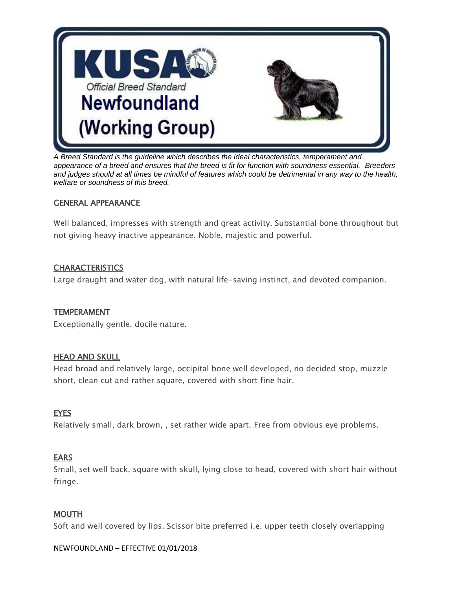

*A Breed Standard is the guideline which describes the ideal characteristics, temperament and appearance of a breed and ensures that the breed is fit for function with soundness essential. Breeders and judges should at all times be mindful of features which could be detrimental in any way to the health, welfare or soundness of this breed.*

## GENERAL APPEARANCE

Well balanced, impresses with strength and great activity. Substantial bone throughout but not giving heavy inactive appearance. Noble, majestic and powerful.

# **CHARACTERISTICS**

Large draught and water dog, with natural life-saving instinct, and devoted companion.

## **TEMPERAMENT**

Exceptionally gentle, docile nature.

## **HEAD AND SKULL**

Head broad and relatively large, occipital bone well developed, no decided stop, muzzle short, clean cut and rather square, covered with short fine hair.

## **EYES**

Relatively small, dark brown, , set rather wide apart. Free from obvious eye problems.

## **EARS**

Small, set well back, square with skull, lying close to head, covered with short hair without fringe.

## **MOUTH**

Soft and well covered by lips. Scissor bite preferred i.e. upper teeth closely overlapping

#### NEWFOUNDLAND – EFFECTIVE 01/01/2018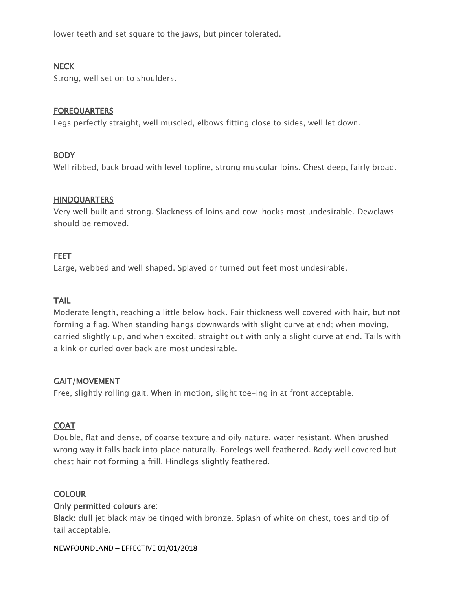lower teeth and set square to the jaws, but pincer tolerated.

## **NECK**

Strong, well set on to shoulders.

### **FOREQUARTERS**

Legs perfectly straight, well muscled, elbows fitting close to sides, well let down.

### **BODY**

Well ribbed, back broad with level topline, strong muscular loins. Chest deep, fairly broad.

### **HINDQUARTERS**

Very well built and strong. Slackness of loins and cow-hocks most undesirable. Dewclaws should be removed.

#### FEET

Large, webbed and well shaped. Splayed or turned out feet most undesirable.

### TAIL

Moderate length, reaching a little below hock. Fair thickness well covered with hair, but not forming a flag. When standing hangs downwards with slight curve at end; when moving, carried slightly up, and when excited, straight out with only a slight curve at end. Tails with a kink or curled over back are most undesirable.

### GAIT/MOVEMENT

Free, slightly rolling gait. When in motion, slight toe-ing in at front acceptable.

### **COAT**

Double, flat and dense, of coarse texture and oily nature, water resistant. When brushed wrong way it falls back into place naturally. Forelegs well feathered. Body well covered but chest hair not forming a frill. Hindlegs slightly feathered.

### **COLOUR**

### Only permitted colours are:

Black: dull jet black may be tinged with bronze. Splash of white on chest, toes and tip of tail acceptable.

#### NEWFOUNDLAND – EFFECTIVE 01/01/2018